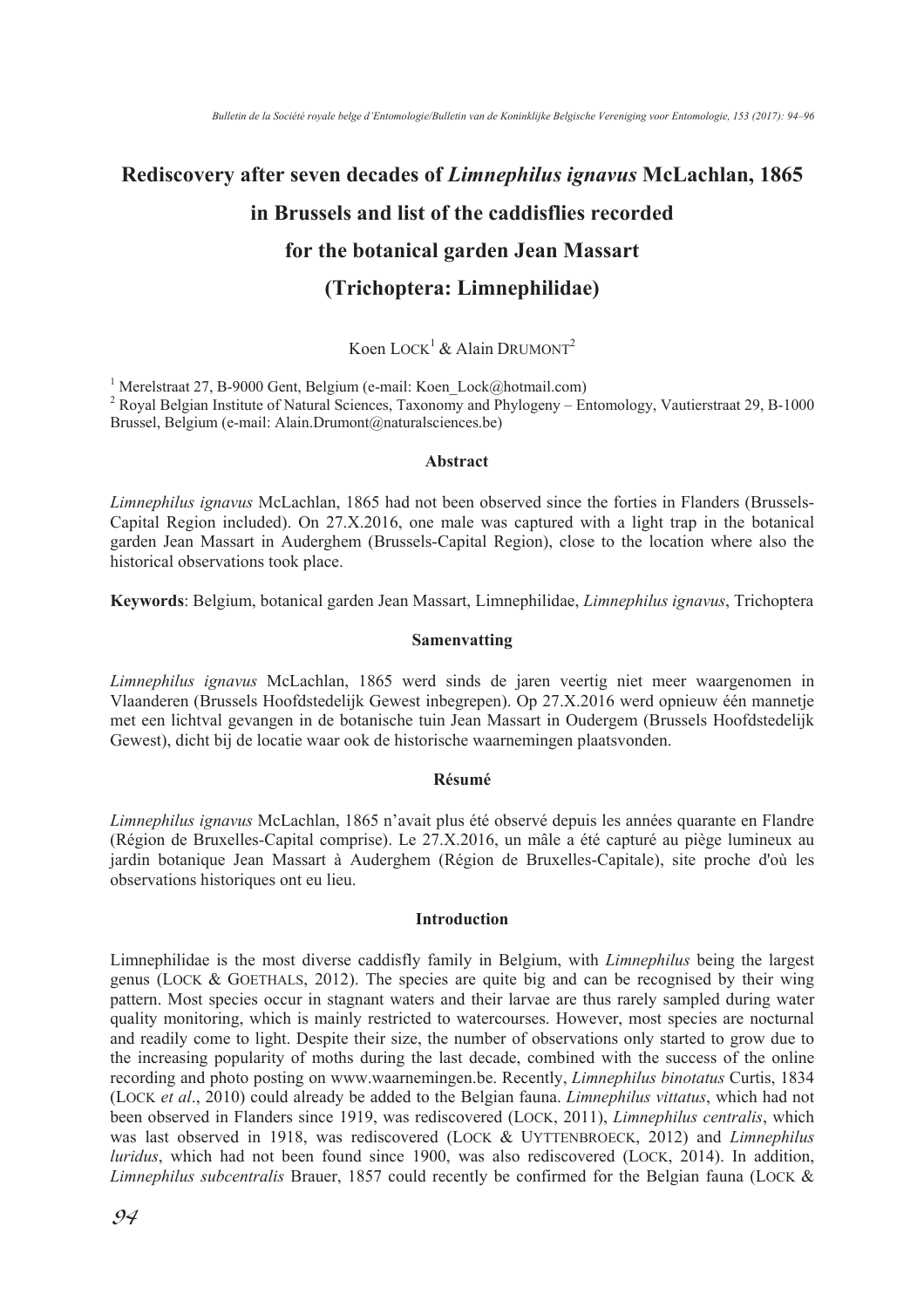# **Rediscovery after seven decades of** *Limnephilus ignavus* **McLachlan, 1865 in Brussels and list of the caddisflies recorded for the botanical garden Jean Massart (Trichoptera: Limnephilidae)**

# Koen LOCK<sup>1</sup> & Alain DRUMONT<sup>2</sup>

<sup>1</sup> Merelstraat 27, B-9000 Gent, Belgium (e-mail: Koen\_Lock@hotmail.com)

<sup>2</sup> Royal Belgian Institute of Natural Sciences, Taxonomy and Phylogeny – Entomology, Vautierstraat 29, B-1000 Brussel, Belgium (e-mail: Alain.Drumont@naturalsciences.be)

### **Abstract**

*Limnephilus ignavus* McLachlan, 1865 had not been observed since the forties in Flanders (Brussels-Capital Region included). On 27.X.2016, one male was captured with a light trap in the botanical garden Jean Massart in Auderghem (Brussels-Capital Region), close to the location where also the historical observations took place.

**Keywords**: Belgium, botanical garden Jean Massart, Limnephilidae, *Limnephilus ignavus*, Trichoptera

## **Samenvatting**

*Limnephilus ignavus* McLachlan, 1865 werd sinds de jaren veertig niet meer waargenomen in Vlaanderen (Brussels Hoofdstedelijk Gewest inbegrepen). Op 27.X.2016 werd opnieuw één mannetje met een lichtval gevangen in de botanische tuin Jean Massart in Oudergem (Brussels Hoofdstedelijk Gewest), dicht bij de locatie waar ook de historische waarnemingen plaatsvonden.

## **Résumé**

*Limnephilus ignavus* McLachlan, 1865 n'avait plus été observé depuis les années quarante en Flandre (Région de Bruxelles-Capital comprise). Le 27.X.2016, un mâle a été capturé au piège lumineux au jardin botanique Jean Massart à Auderghem (Région de Bruxelles-Capitale), site proche d'où les observations historiques ont eu lieu.

## **Introduction**

Limnephilidae is the most diverse caddisfly family in Belgium, with *Limnephilus* being the largest genus (LOCK & GOETHALS, 2012). The species are quite big and can be recognised by their wing pattern. Most species occur in stagnant waters and their larvae are thus rarely sampled during water quality monitoring, which is mainly restricted to watercourses. However, most species are nocturnal and readily come to light. Despite their size, the number of observations only started to grow due to the increasing popularity of moths during the last decade, combined with the success of the online recording and photo posting on www.waarnemingen.be. Recently, *Limnephilus binotatus* Curtis, 1834 (LOCK *et al*., 2010) could already be added to the Belgian fauna. *Limnephilus vittatus*, which had not been observed in Flanders since 1919, was rediscovered (LOCK, 2011), *Limnephilus centralis*, which was last observed in 1918, was rediscovered (LOCK & UYTTENBROECK, 2012) and *Limnephilus luridus*, which had not been found since 1900, was also rediscovered (LOCK, 2014). In addition, *Limnephilus subcentralis* Brauer, 1857 could recently be confirmed for the Belgian fauna (LOCK &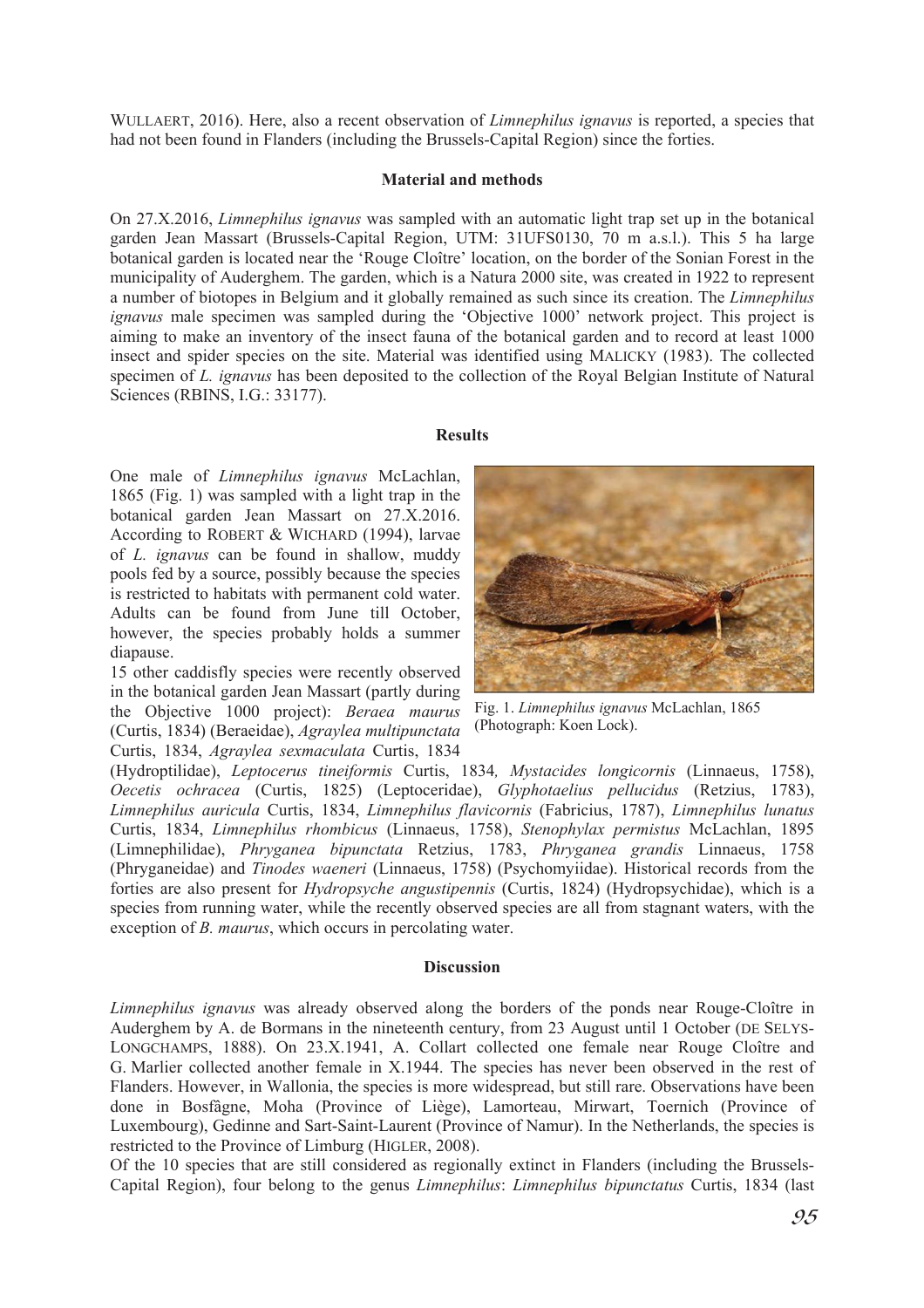WULLAERT, 2016). Here, also a recent observation of *Limnephilus ignavus* is reported, a species that had not been found in Flanders (including the Brussels-Capital Region) since the forties.

# **Material and methods**

On 27.X.2016, *Limnephilus ignavus* was sampled with an automatic light trap set up in the botanical garden Jean Massart (Brussels-Capital Region, UTM: 31UFS0130, 70 m a.s.l.). This 5 ha large botanical garden is located near the 'Rouge Cloître' location, on the border of the Sonian Forest in the municipality of Auderghem. The garden, which is a Natura 2000 site, was created in 1922 to represent a number of biotopes in Belgium and it globally remained as such since its creation. The *Limnephilus ignavus* male specimen was sampled during the 'Objective 1000' network project. This project is aiming to make an inventory of the insect fauna of the botanical garden and to record at least 1000 insect and spider species on the site. Material was identified using MALICKY (1983). The collected specimen of *L. ignavus* has been deposited to the collection of the Royal Belgian Institute of Natural Sciences (RBINS, I.G.: 33177).

## **Results**

One male of *Limnephilus ignavus* McLachlan, 1865 (Fig. 1) was sampled with a light trap in the botanical garden Jean Massart on 27.X.2016. According to ROBERT & WICHARD (1994), larvae of *L. ignavus* can be found in shallow, muddy pools fed by a source, possibly because the species is restricted to habitats with permanent cold water. Adults can be found from June till October, however, the species probably holds a summer diapause.

15 other caddisfly species were recently observed in the botanical garden Jean Massart (partly during the Objective 1000 project): *Beraea maurus* (Curtis, 1834) (Beraeidae), *Agraylea multipunctata* Curtis, 1834, *Agraylea sexmaculata* Curtis, 1834



Fig. 1. *Limnephilus ignavus* McLachlan, 1865 (Photograph: Koen Lock).

(Hydroptilidae), *Leptocerus tineiformis* Curtis, 1834*, Mystacides longicornis* (Linnaeus, 1758), *Oecetis ochracea* (Curtis, 1825) (Leptoceridae), *Glyphotaelius pellucidus* (Retzius, 1783), *Limnephilus auricula* Curtis, 1834, *Limnephilus flavicornis* (Fabricius, 1787), *Limnephilus lunatus*  Curtis, 1834, *Limnephilus rhombicus* (Linnaeus, 1758), *Stenophylax permistus* McLachlan, 1895 (Limnephilidae), *Phryganea bipunctata* Retzius, 1783, *Phryganea grandis* Linnaeus, 1758 (Phryganeidae) and *Tinodes waeneri* (Linnaeus, 1758) (Psychomyiidae). Historical records from the forties are also present for *Hydropsyche angustipennis* (Curtis, 1824) (Hydropsychidae), which is a species from running water, while the recently observed species are all from stagnant waters, with the exception of *B. maurus*, which occurs in percolating water.

## **Discussion**

*Limnephilus ignavus* was already observed along the borders of the ponds near Rouge-Cloître in Auderghem by A. de Bormans in the nineteenth century, from 23 August until 1 October (DE SELYS-LONGCHAMPS, 1888). On 23.X.1941, A. Collart collected one female near Rouge Cloître and G. Marlier collected another female in X.1944. The species has never been observed in the rest of Flanders. However, in Wallonia, the species is more widespread, but still rare. Observations have been done in Bosfâgne, Moha (Province of Liège), Lamorteau, Mirwart, Toernich (Province of Luxembourg), Gedinne and Sart-Saint-Laurent (Province of Namur). In the Netherlands, the species is restricted to the Province of Limburg (HIGLER, 2008).

Of the 10 species that are still considered as regionally extinct in Flanders (including the Brussels-Capital Region), four belong to the genus *Limnephilus*: *Limnephilus bipunctatus* Curtis, 1834 (last